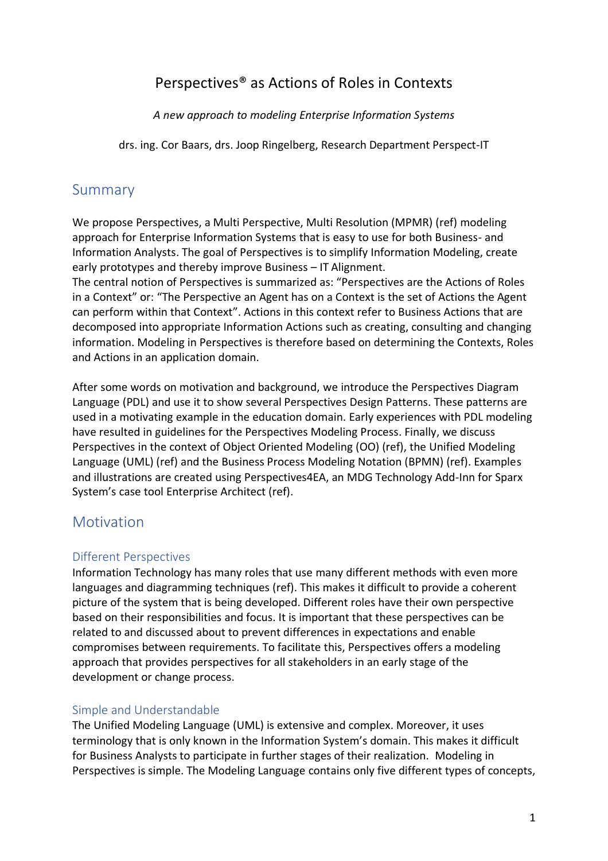# Perspectives® as Actions of Roles in Contexts

*A new approach to modeling Enterprise Information Systems*

drs. ing. Cor Baars, drs. Joop Ringelberg, Research Department Perspect-IT

## Summary

We propose Perspectives, a Multi Perspective, Multi Resolution (MPMR) (ref) modeling approach for Enterprise Information Systems that is easy to use for both Business- and Information Analysts. The goal of Perspectives is to simplify Information Modeling, create early prototypes and thereby improve Business – IT Alignment.

The central notion of Perspectives is summarized as: "Perspectives are the Actions of Roles in a Context" or: "The Perspective an Agent has on a Context is the set of Actions the Agent can perform within that Context". Actions in this context refer to Business Actions that are decomposed into appropriate Information Actions such as creating, consulting and changing information. Modeling in Perspectives is therefore based on determining the Contexts, Roles and Actions in an application domain.

After some words on motivation and background, we introduce the Perspectives Diagram Language (PDL) and use it to show several Perspectives Design Patterns. These patterns are used in a motivating example in the education domain. Early experiences with PDL modeling have resulted in guidelines for the Perspectives Modeling Process. Finally, we discuss Perspectives in the context of Object Oriented Modeling (OO) (ref), the Unified Modeling Language (UML) (ref) and the Business Process Modeling Notation (BPMN) (ref). Examples and illustrations are created using Perspectives4EA, an MDG Technology Add-Inn for Sparx System's case tool Enterprise Architect (ref).

## Motivation

#### Different Perspectives

Information Technology has many roles that use many different methods with even more languages and diagramming techniques (ref). This makes it difficult to provide a coherent picture of the system that is being developed. Different roles have their own perspective based on their responsibilities and focus. It is important that these perspectives can be related to and discussed about to prevent differences in expectations and enable compromises between requirements. To facilitate this, Perspectives offers a modeling approach that provides perspectives for all stakeholders in an early stage of the development or change process.

## Simple and Understandable

The Unified Modeling Language (UML) is extensive and complex. Moreover, it uses terminology that is only known in the Information System's domain. This makes it difficult for Business Analysts to participate in further stages of their realization. Modeling in Perspectives is simple. The Modeling Language contains only five different types of concepts,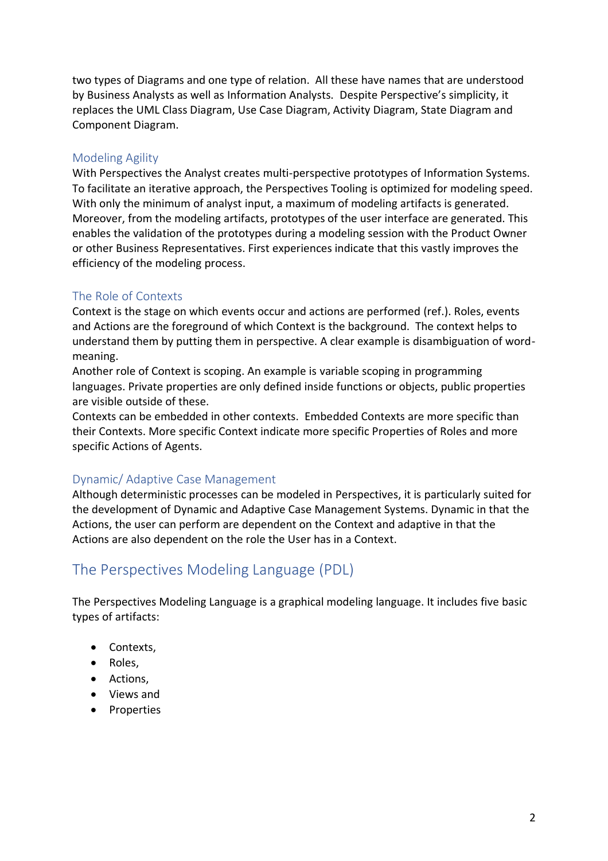two types of Diagrams and one type of relation. All these have names that are understood by Business Analysts as well as Information Analysts. Despite Perspective's simplicity, it replaces the UML Class Diagram, Use Case Diagram, Activity Diagram, State Diagram and Component Diagram.

### Modeling Agility

With Perspectives the Analyst creates multi-perspective prototypes of Information Systems. To facilitate an iterative approach, the Perspectives Tooling is optimized for modeling speed. With only the minimum of analyst input, a maximum of modeling artifacts is generated. Moreover, from the modeling artifacts, prototypes of the user interface are generated. This enables the validation of the prototypes during a modeling session with the Product Owner or other Business Representatives. First experiences indicate that this vastly improves the efficiency of the modeling process.

## The Role of Contexts

Context is the stage on which events occur and actions are performed (ref.). Roles, events and Actions are the foreground of which Context is the background. The context helps to understand them by putting them in perspective. A clear example is disambiguation of wordmeaning.

Another role of Context is scoping. An example is variable scoping in programming languages. Private properties are only defined inside functions or objects, public properties are visible outside of these.

Contexts can be embedded in other contexts. Embedded Contexts are more specific than their Contexts. More specific Context indicate more specific Properties of Roles and more specific Actions of Agents.

## Dynamic/ Adaptive Case Management

Although deterministic processes can be modeled in Perspectives, it is particularly suited for the development of Dynamic and Adaptive Case Management Systems. Dynamic in that the Actions, the user can perform are dependent on the Context and adaptive in that the Actions are also dependent on the role the User has in a Context.

# The Perspectives Modeling Language (PDL)

The Perspectives Modeling Language is a graphical modeling language. It includes five basic types of artifacts:

- Contexts,
- Roles,
- Actions,
- Views and
- Properties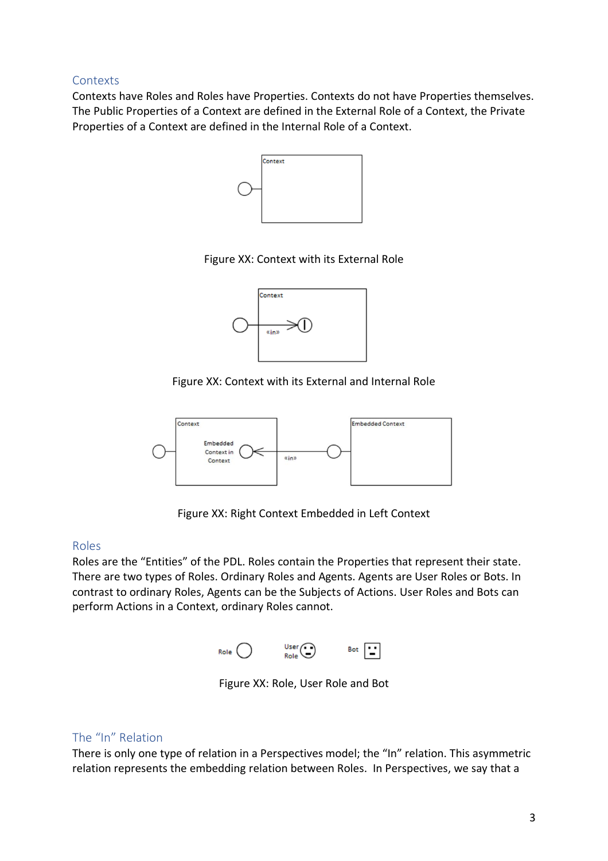#### Contexts

Contexts have Roles and Roles have Properties. Contexts do not have Properties themselves. The Public Properties of a Context are defined in the External Role of a Context, the Private Properties of a Context are defined in the Internal Role of a Context.



#### Figure XX: Context with its External Role



#### Figure XX: Context with its External and Internal Role



Figure XX: Right Context Embedded in Left Context

#### Roles

Roles are the "Entities" of the PDL. Roles contain the Properties that represent their state. There are two types of Roles. Ordinary Roles and Agents. Agents are User Roles or Bots. In contrast to ordinary Roles, Agents can be the Subjects of Actions. User Roles and Bots can perform Actions in a Context, ordinary Roles cannot.



Figure XX: Role, User Role and Bot

#### The "In" Relation

There is only one type of relation in a Perspectives model; the "In" relation. This asymmetric relation represents the embedding relation between Roles. In Perspectives, we say that a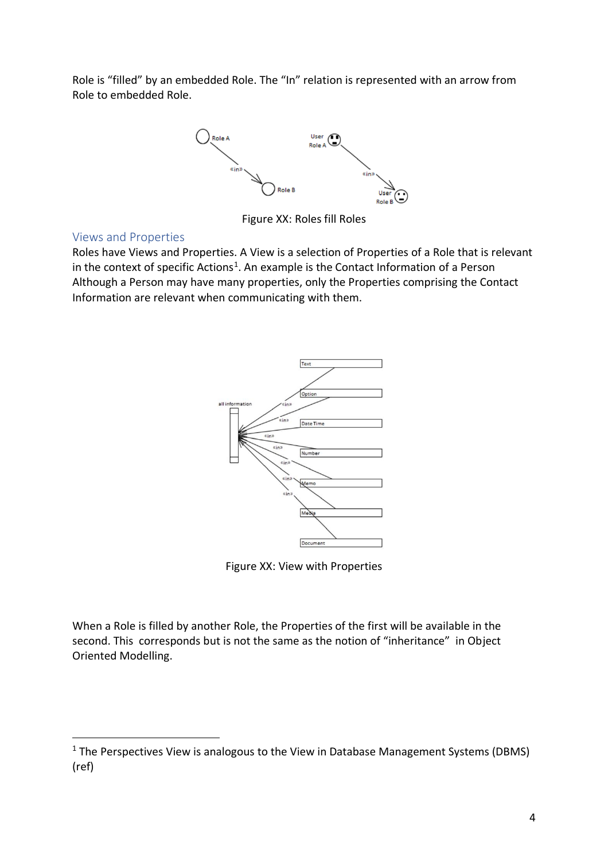Role is "filled" by an embedded Role. The "In" relation is represented with an arrow from Role to embedded Role.



Figure XX: Roles fill Roles

#### Views and Properties

l

Roles have Views and Properties. A View is a selection of Properties of a Role that is relevant in the context of specific Actions<sup>1</sup>. An example is the Contact Information of a Person Although a Person may have many properties, only the Properties comprising the Contact Information are relevant when communicating with them.



Figure XX: View with Properties

When a Role is filled by another Role, the Properties of the first will be available in the second. This corresponds but is not the same as the notion of "inheritance" in Object Oriented Modelling.

 $1$  The Perspectives View is analogous to the View in Database Management Systems (DBMS) (ref)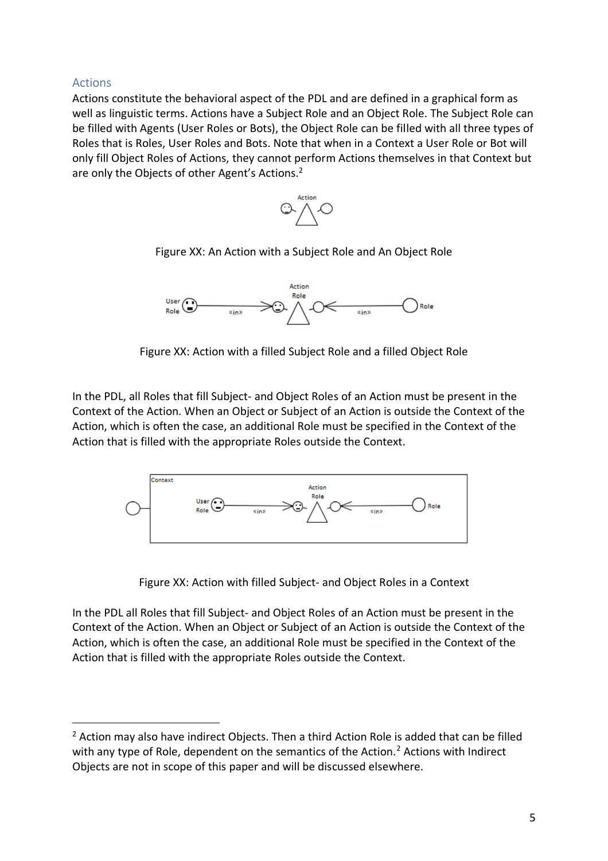#### Actions

l

Actions constitute the behavioral aspect of the PDL and are defined in a graphical form as well as linguistic terms. Actions have a Subject Role and an Object Role. The Subject Role can be filled with Agents (User Roles or Bots), the Object Role can be filled with all three types of Roles that is Roles, User Roles and Bots. Note that when in a Context a User Role or Bot will only fill Object Roles of Actions, they cannot perform Actions themselves in that Context but are only the Objects of other Agent's Actions.<sup>2</sup>



Figure XX: An Action with a Subject Role and An Object Role



Figure XX: Action with a filled Subject Role and a filled Object Role

In the PDL, all Roles that fill Subject- and Object Roles of an Action must be present in the Context of the Action. When an Object or Subject of an Action is outside the Context of the Action, which is often the case, an additional Role must be specified in the Context of the Action that is filled with the appropriate Roles outside the Context.



Figure XX: Action with filled Subject- and Object Roles in a Context

In the PDL all Roles that fill Subject- and Object Roles of an Action must be present in the Context of the Action. When an Object or Subject of an Action is outside the Context of the Action, which is often the case, an additional Role must be specified in the Context of the Action that is filled with the appropriate Roles outside the Context.

 $2$  Action may also have indirect Objects. Then a third Action Role is added that can be filled with any type of Role, dependent on the semantics of the Action.<sup>2</sup> Actions with Indirect Objects are not in scope of this paper and will be discussed elsewhere.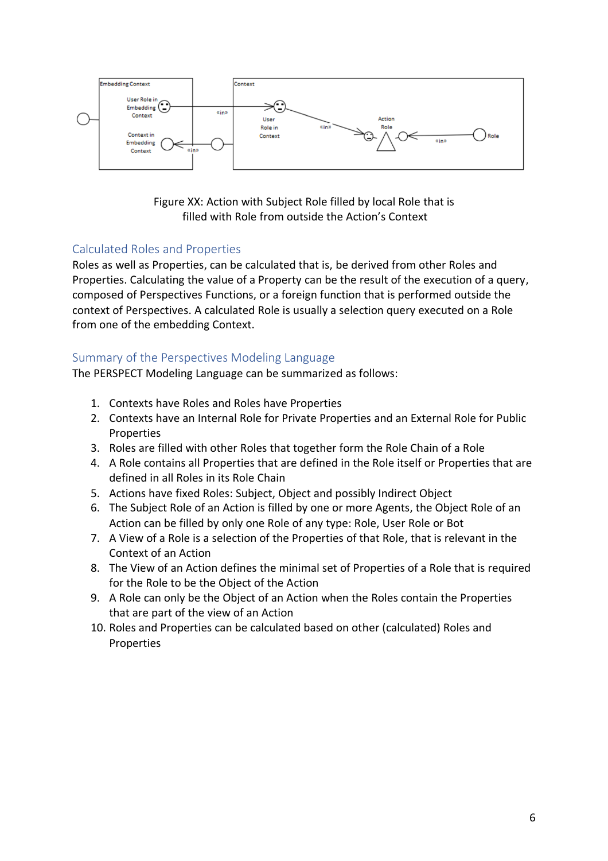

Figure XX: Action with Subject Role filled by local Role that is filled with Role from outside the Action's Context

## Calculated Roles and Properties

Roles as well as Properties, can be calculated that is, be derived from other Roles and Properties. Calculating the value of a Property can be the result of the execution of a query, composed of Perspectives Functions, or a foreign function that is performed outside the context of Perspectives. A calculated Role is usually a selection query executed on a Role from one of the embedding Context.

## Summary of the Perspectives Modeling Language

The PERSPECT Modeling Language can be summarized as follows:

- 1. Contexts have Roles and Roles have Properties
- 2. Contexts have an Internal Role for Private Properties and an External Role for Public **Properties**
- 3. Roles are filled with other Roles that together form the Role Chain of a Role
- 4. A Role contains all Properties that are defined in the Role itself or Properties that are defined in all Roles in its Role Chain
- 5. Actions have fixed Roles: Subject, Object and possibly Indirect Object
- 6. The Subject Role of an Action is filled by one or more Agents, the Object Role of an Action can be filled by only one Role of any type: Role, User Role or Bot
- 7. A View of a Role is a selection of the Properties of that Role, that is relevant in the Context of an Action
- 8. The View of an Action defines the minimal set of Properties of a Role that is required for the Role to be the Object of the Action
- 9. A Role can only be the Object of an Action when the Roles contain the Properties that are part of the view of an Action
- 10. Roles and Properties can be calculated based on other (calculated) Roles and Properties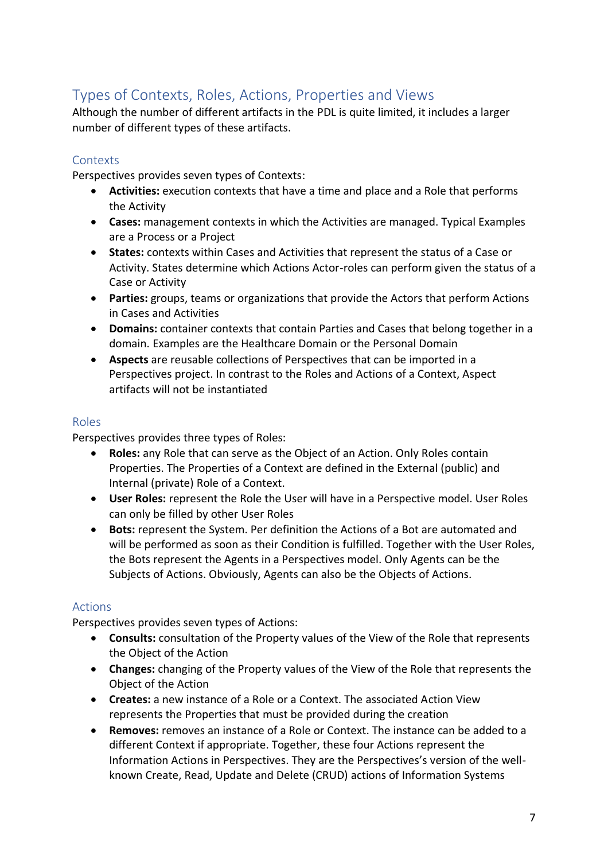# Types of Contexts, Roles, Actions, Properties and Views

Although the number of different artifacts in the PDL is quite limited, it includes a larger number of different types of these artifacts.

### **Contexts**

Perspectives provides seven types of Contexts:

- **Activities:** execution contexts that have a time and place and a Role that performs the Activity
- **Cases:** management contexts in which the Activities are managed. Typical Examples are a Process or a Project
- **States:** contexts within Cases and Activities that represent the status of a Case or Activity. States determine which Actions Actor-roles can perform given the status of a Case or Activity
- **Parties:** groups, teams or organizations that provide the Actors that perform Actions in Cases and Activities
- **Domains:** container contexts that contain Parties and Cases that belong together in a domain. Examples are the Healthcare Domain or the Personal Domain
- **Aspects** are reusable collections of Perspectives that can be imported in a Perspectives project. In contrast to the Roles and Actions of a Context, Aspect artifacts will not be instantiated

#### Roles

Perspectives provides three types of Roles:

- **Roles:** any Role that can serve as the Object of an Action. Only Roles contain Properties. The Properties of a Context are defined in the External (public) and Internal (private) Role of a Context.
- **User Roles:** represent the Role the User will have in a Perspective model. User Roles can only be filled by other User Roles
- **Bots:** represent the System. Per definition the Actions of a Bot are automated and will be performed as soon as their Condition is fulfilled. Together with the User Roles, the Bots represent the Agents in a Perspectives model. Only Agents can be the Subjects of Actions. Obviously, Agents can also be the Objects of Actions.

## Actions

Perspectives provides seven types of Actions:

- **Consults:** consultation of the Property values of the View of the Role that represents the Object of the Action
- **Changes:** changing of the Property values of the View of the Role that represents the Object of the Action
- **Creates:** a new instance of a Role or a Context. The associated Action View represents the Properties that must be provided during the creation
- **Removes:** removes an instance of a Role or Context. The instance can be added to a different Context if appropriate. Together, these four Actions represent the Information Actions in Perspectives. They are the Perspectives's version of the wellknown Create, Read, Update and Delete (CRUD) actions of Information Systems